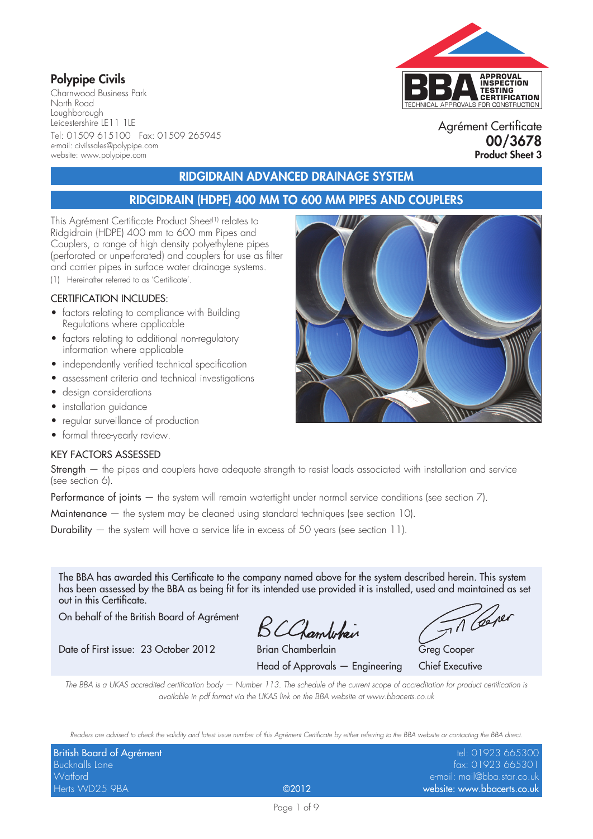### **Polypipe Civils**

Charnwood Business Park North Road Loughborough Leicestershire LE11 1LE Tel: 01509 615100 Fax: 01509 265945 e-mail: civilssales@polypipe.com website: www.polypipe.com

# TECHNICAL APPROVALS FOR CONSTRUCTION **APPROVAL INSPECTION TESTING CERTIFICATION**

Agrément Certificate **00/3678 Product Sheet 3**

### **RIDGIDRAIN ADVANCED DRAINAGE SYSTEM**

#### **RIDGIDRAIN (HDPE) 400 MM TO 600 MM PIPES AND COUPLERS**

This Agrément Certificate Product Sheet<sup>(1)</sup> relates to Ridgidrain (HDPE) 400 mm to 600 mm Pipes and Couplers, a range of high density polyethylene pipes (perforated or unperforated) and couplers for use as filter and carrier pipes in surface water drainage systems. (1) Hereinafter referred to as 'Certificate'.

#### CERTIFICATION INCLUDES:

- factors relating to compliance with Building Regulations where applicable
- factors relating to additional non-regulatory information where applicable
- independently verified technical specification
- assessment criteria and technical investigations
- design considerations
- installation guidance
- regular surveillance of production
- formal three-yearly review.

#### KEY FACTORS ASSESSED

Strength – the pipes and couplers have adequate strength to resist loads associated with installation and service (see section 6).

Performance of joints — the system will remain watertight under normal service conditions (see section 7).

Maintenance — the system may be cleaned using standard techniques (see section 10).

**Durability**  $-$  the system will have a service life in excess of 50 years (see section 11).

The BBA has awarded this Certificate to the company named above for the system described herein. This system has been assessed by the BBA as being fit for its intended use provided it is installed, used and maintained as set out in this Certificate.

On behalf of the British Board of Agrément

BCChamberlain

Date of First issue: 23 October 2012 Brian Chamberlain Greg Cooper

Head of Approvals — Engineering Chief Executive

Til Cerer

*The BBA is a UKAS accredited certification body — Number 113. The schedule of the current scope of accreditation for product certification is available in pdf format via the UKAS link on the BBA website at www.bbacerts.co.uk*

*Readers are advised to check the validity and latest issue number of this Agrément Certificate by either referring to the BBA website or contacting the BBA direct.*

| British Board of Agrément |       | tel: 01923 665300           |
|---------------------------|-------|-----------------------------|
| Bucknalls Lane            |       | fax: 01923 665301           |
| Watford                   |       | e-mail: mail@bba.star.co.uk |
| Herts WD25 9BA            | @2012 | website: www.bbacerts.co.uk |

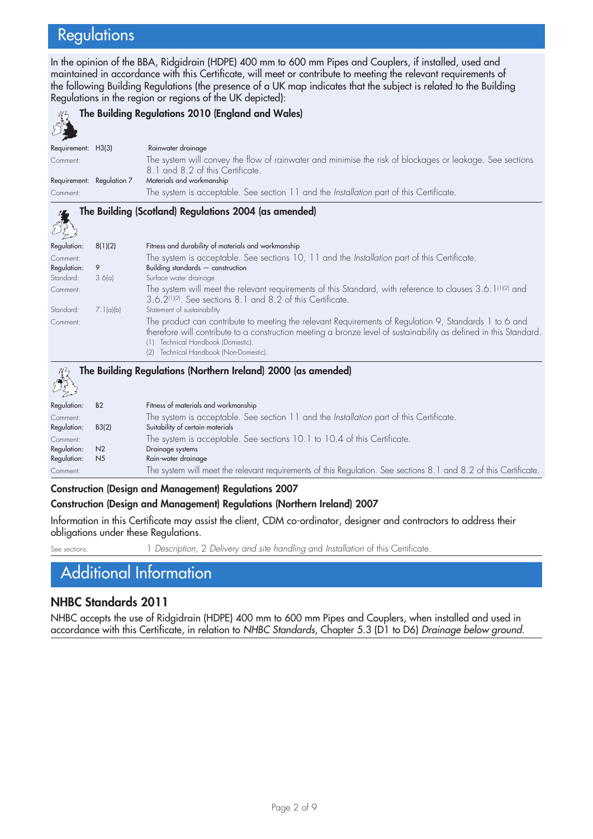# **Regulations**

In the opinion of the BBA, Ridgidrain (HDPE) 400 mm to 600 mm Pipes and Couplers, if installed, used and maintained in accordance with this Certificate, will meet or contribute to meeting the relevant requirements of the following Building Regulations (the presence of a UK map indicates that the subject is related to the Building Regulations in the region or regions of the UK depicted):

|                                |                           | The Building Regulations 2010 (England and Wales)                                                                                                                                                                                                                                                                                  |
|--------------------------------|---------------------------|------------------------------------------------------------------------------------------------------------------------------------------------------------------------------------------------------------------------------------------------------------------------------------------------------------------------------------|
| Requirement: H3(3)<br>Comment: |                           | Rainwater drainage<br>The system will convey the flow of rainwater and minimise the risk of blockages or leakage. See sections<br>8.1 and 8.2 of this Certificate.                                                                                                                                                                 |
|                                | Requirement: Regulation 7 | Materials and workmanship                                                                                                                                                                                                                                                                                                          |
| Comment:                       |                           | The system is acceptable. See section 11 and the Installation part of this Certificate.                                                                                                                                                                                                                                            |
|                                |                           | The Building (Scotland) Regulations 2004 (as amended)                                                                                                                                                                                                                                                                              |
| Regulation:                    | 8(1)(2)                   | Fitness and durability of materials and workmanship                                                                                                                                                                                                                                                                                |
| Comment:                       |                           | The system is acceptable. See sections 10, 11 and the Installation part of this Certificate.                                                                                                                                                                                                                                       |
| Regulation:                    | 9                         | Building standards $-$ construction                                                                                                                                                                                                                                                                                                |
| Standard:                      | 3.6(a)                    | Surface water drainage                                                                                                                                                                                                                                                                                                             |
| Comment:                       |                           | The system will meet the relevant requirements of this Standard, with reference to clauses 3.6.1(1)(2) and<br>3.6.2 <sup>(1)(2)</sup> . See sections 8.1 and 8.2 of this Certificate.                                                                                                                                              |
| Standard:                      | 7.1(a)(b)                 | Statement of sustainability                                                                                                                                                                                                                                                                                                        |
| Comment:                       |                           | The product can contribute to meeting the relevant Requirements of Regulation 9, Standards 1 to 6 and<br>therefore will contribute to a construction meeting a bronze level of sustainability as defined in this Standard.<br>Technical Handbook (Domestic).<br>(1)<br>(2) Technical Handbook (Non-Domestic).                      |
|                                |                           | The Building Regulations (Northern Ireland) 2000 (as amended)                                                                                                                                                                                                                                                                      |
| Regulation:                    | B <sub>2</sub>            | Fitness of materials and workmanship                                                                                                                                                                                                                                                                                               |
| Comment:                       |                           | The system is acceptable. See section 11 and the Installation part of this Certificate.                                                                                                                                                                                                                                            |
| Regulation:                    | B3(2)                     | Suitability of certain materials                                                                                                                                                                                                                                                                                                   |
| Comment:                       |                           | The system is acceptable. See sections 10.1 to 10.4 of this Certificate.                                                                                                                                                                                                                                                           |
| Regulation:                    | N <sub>2</sub>            | Drainage systems                                                                                                                                                                                                                                                                                                                   |
| Regulation:                    | N <sub>5</sub>            | Rain-water drainage                                                                                                                                                                                                                                                                                                                |
| Comment:                       |                           | The system will meet the relevant requirements of this Regulation. See sections 8.1 and 8.2 of this Certificate.                                                                                                                                                                                                                   |
|                                |                           | $\mathbf{A}$ $\mathbf{A}$ $\mathbf{A}$ $\mathbf{A}$ $\mathbf{A}$ $\mathbf{A}$ $\mathbf{A}$ $\mathbf{A}$ $\mathbf{A}$ $\mathbf{A}$ $\mathbf{A}$ $\mathbf{A}$ $\mathbf{A}$ $\mathbf{A}$ $\mathbf{A}$ $\mathbf{A}$ $\mathbf{A}$ $\mathbf{A}$ $\mathbf{A}$ $\mathbf{A}$ $\mathbf{A}$ $\mathbf{A}$ $\mathbf{A}$ $\mathbf{A}$ $\mathbf{$ |

**Construction (Design and Management) Regulations 2007**

#### **Construction (Design and Management) Regulations (Northern Ireland) 2007**

Information in this Certificate may assist the client, CDM co-ordinator, designer and contractors to address their obligations under these Regulations.

See sections: 1 *Description*, 2 *Delivery and site handling* and *Installation* of this Certificate.

Additional Information

#### **NHBC Standards 2011**

NHBC accepts the use of Ridgidrain (HDPE) 400 mm to 600 mm Pipes and Couplers, when installed and used in accordance with this Certificate, in relation to *NHBC Standards*, Chapter 5.3 (D1 to D6) *Drainage below ground*.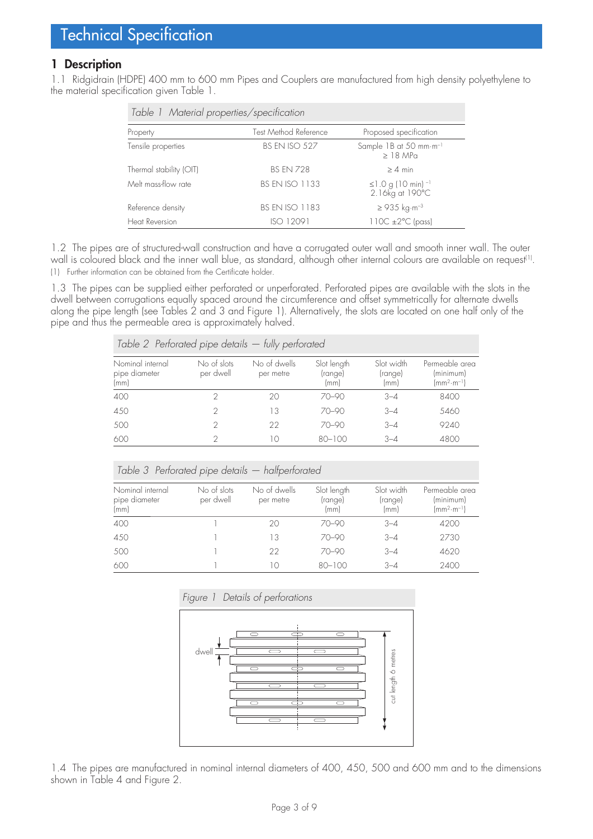#### **1 Description**

1.1 Ridgidrain (HDPE) 400 mm to 600 mm Pipes and Couplers are manufactured from high density polyethylene to the material specification given Table 1.

| Table 1 Material properties/specification |                              |                                                         |  |  |
|-------------------------------------------|------------------------------|---------------------------------------------------------|--|--|
| Property                                  | <b>Test Method Reference</b> | Proposed specification                                  |  |  |
| Tensile properties                        | <b>BS EN ISO 527</b>         | Sample 1B at 50 mm·m <sup>-1</sup><br>$>18$ MPa         |  |  |
| Thermal stability (OIT)                   | <b>BS FN 728</b>             | $> 4$ min                                               |  |  |
| Melt mass-flow rate                       | <b>BS EN ISO 1133</b>        | ≤1.0 g (10 min) $^{-1}$<br>$2.16$ kg at $190^{\circ}$ C |  |  |
| Reference density                         | <b>BS EN ISO 1183</b>        | $≥$ 935 kg⋅m <sup>-3</sup>                              |  |  |
| Heat Reversion                            | ISO 12091                    | $110C \pm 2°C$ (pass)                                   |  |  |

1.2 The pipes are of structured-wall construction and have a corrugated outer wall and smooth inner wall. The outer wall is coloured black and the inner wall blue, as standard, although other internal colours are available on request<sup>(1)</sup>. (1) Further information can be obtained from the Certificate holder.

1.3 The pipes can be supplied either perforated or unperforated. Perforated pipes are available with the slots in the dwell between corrugations equally spaced around the circumference and offset symmetrically for alternate dwells along the pipe length (see Tables 2 and 3 and Figure 1). Alternatively, the slots are located on one half only of the pipe and thus the permeable area is approximately halved.

| Table 2 Pertorated pipe details $-$ tully pertorated |                          |                           |                                |                               |                                                                  |
|------------------------------------------------------|--------------------------|---------------------------|--------------------------------|-------------------------------|------------------------------------------------------------------|
| Nominal internal<br>pipe diameter<br>(mm)            | No of slots<br>per dwell | No of dwells<br>per metre | Slot length<br>(range)<br>(mm) | Slot width<br>(range)<br>(mm) | Permeable area<br>(minimum)<br>$\text{mm}^{2}\cdot\text{m}^{-1}$ |
| 400                                                  |                          | 20                        | $70 - 90$                      | $3 - 4$                       | 8400                                                             |
| 450                                                  |                          | 13                        | $70 - 90$                      | $3 - 4$                       | 5460                                                             |
| 500                                                  |                          | 22                        | $70 - 90$                      | $3 - 4$                       | 9240                                                             |
| 600                                                  |                          | 10                        | $80 - 100$                     | $3 - 4$                       | 4800                                                             |

| Table 3 Perforated pipe details - halfperforated |                          |                           |                                |                               |                                                      |
|--------------------------------------------------|--------------------------|---------------------------|--------------------------------|-------------------------------|------------------------------------------------------|
| Nominal internal<br>pipe diameter<br>(mm)        | No of slots<br>per dwell | No of dwells<br>per metre | Slot length<br>(range)<br>(mm) | Slot width<br>(range)<br>(mm) | Permeable area<br>(minimum)<br>$(mm^2 \cdot m^{-1})$ |
| 400                                              |                          | 20                        | $70 - 90$                      | $3 - 4$                       | 4200                                                 |
| 450                                              |                          | 13                        | $70 - 90$                      | $3 - 4$                       | 2730                                                 |
| 500                                              |                          | 22                        | $70 - 90$                      | $3 - 4$                       | 4620                                                 |
| 600                                              |                          | 10                        | $80 - 100$                     | $3 - 4$                       | 2400                                                 |



1.4 The pipes are manufactured in nominal internal diameters of 400, 450, 500 and 600 mm and to the dimensions shown in Table 4 and Figure 2.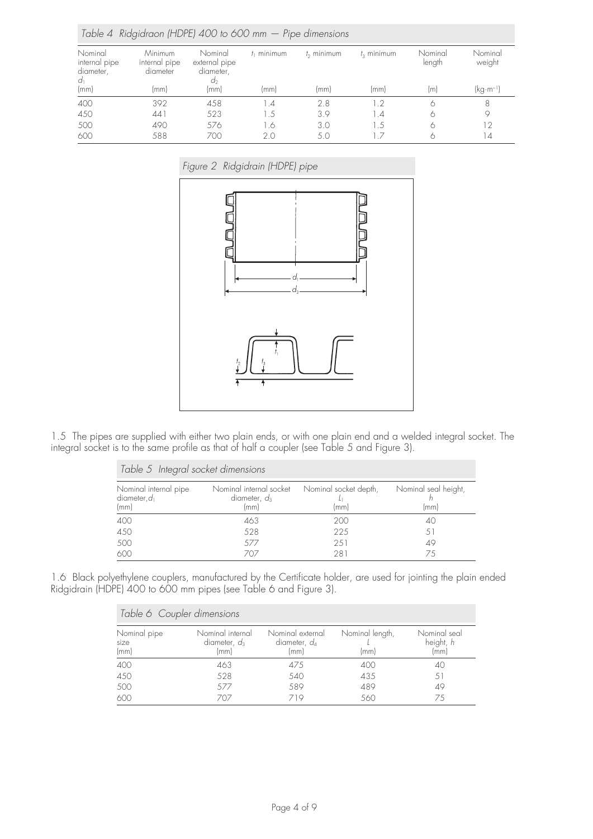| Table 4 Ridgidraon (HDPE) 400 to 600 mm $-$ Pipe dimensions |                                      |                                             |               |                     |                     |                   |                       |
|-------------------------------------------------------------|--------------------------------------|---------------------------------------------|---------------|---------------------|---------------------|-------------------|-----------------------|
| Nominal<br>internal pipe<br>diameter,<br>$d_1$              | Minimum<br>internal pipe<br>diameter | Nominal<br>external pipe<br>diameter,<br>a, | $t_1$ minimum | $t_{\rm o}$ minimum | $t_{\rm s}$ minimum | Nominal<br>length | Nominal<br>weight     |
| (mm)                                                        | (mm)                                 | (mm)                                        | (mm)          | (mm)                | (mm)                | (m)               | (kg·m <sup>-1</sup> ) |
| 400                                                         | 392                                  | 458                                         | $\mathcal{A}$ | 2.8                 | 1.2                 | Ô                 | 8                     |
| 450                                                         | 441                                  | 523                                         | . 5           | 3.9                 | 1.4                 | Ô                 | 9                     |
| 500                                                         | 490                                  | 576                                         | 1.6           | 3.0                 | 1.5                 | Ô                 | 12                    |
| 600                                                         | 588                                  | 700                                         | 20            | 5.0                 | 17                  |                   | $\overline{A}$        |

*Figure 2 Ridgidrain (HDPE) pipe*



1.5 The pipes are supplied with either two plain ends, or with one plain end and a welded integral socket. The integral socket is to the same profile as that of half a coupler (see Table 5 and Figure 3).

| Table 5 Integral socket dimensions               |                                                    |                               |                              |  |  |
|--------------------------------------------------|----------------------------------------------------|-------------------------------|------------------------------|--|--|
| Nominal internal pipe<br>diameter, $d_1$<br>(mm) | Nominal internal socket<br>diameter, $d_3$<br>(mm) | Nominal socket depth,<br>(mm) | Nominal seal height,<br>(mm) |  |  |
| 400                                              | 463                                                | 200                           | 40                           |  |  |
| 450                                              | 528                                                | 225                           | 51                           |  |  |
| 500                                              | 577                                                | 2.51                          | 49                           |  |  |
| 600                                              | 707                                                | 281                           | 75                           |  |  |

1.6 Black polyethylene couplers, manufactured by the Certificate holder, are used for jointing the plain ended Ridgidrain (HDPE) 400 to 600 mm pipes (see Table 6 and Figure 3).

| Table 6 Coupler dimensions   |                                             |                                             |                         |                                   |
|------------------------------|---------------------------------------------|---------------------------------------------|-------------------------|-----------------------------------|
| Nominal pipe<br>size<br>(mm) | Nominal internal<br>diameter, $d_3$<br>(mm) | Nominal external<br>diameter, $d_4$<br>(mm) | Nominal length,<br>(mm) | Nominal seal<br>height, h<br>(mm) |
| 400                          | 463                                         | 475                                         | 400                     | 40                                |
| 450                          | 528                                         | 540                                         | 435                     | 51                                |
| 500                          | 577                                         | 589                                         | 489                     | 49                                |
| 600                          | 707                                         | 719                                         | 560                     | 75                                |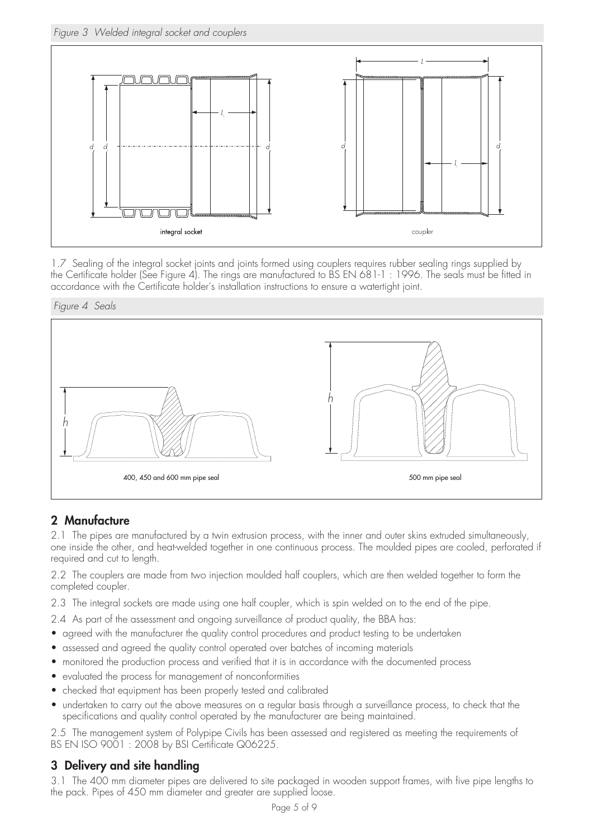*Figure 3 Welded integral socket and couplers*



1.7 Sealing of the integral socket joints and joints formed using couplers requires rubber sealing rings supplied by the Certificate holder (See Figure 4). The rings are manufactured to BS EN 681-1 : 1996. The seals must be fitted in accordance with the Certificate holder's installation instructions to ensure a watertight joint.





### **2 Manufacture**

2.1 The pipes are manufactured by a twin extrusion process, with the inner and outer skins extruded simultaneously, one inside the other, and heat-welded together in one continuous process. The moulded pipes are cooled, perforated if required and cut to length.

2.2 The couplers are made from two injection moulded half couplers, which are then welded together to form the completed coupler.

- 2.3 The integral sockets are made using one half coupler, which is spin welded on to the end of the pipe.
- 2.4 As part of the assessment and ongoing surveillance of product quality, the BBA has:
- agreed with the manufacturer the quality control procedures and product testing to be undertaken
- assessed and agreed the quality control operated over batches of incoming materials
- monitored the production process and verified that it is in accordance with the documented process
- evaluated the process for management of nonconformities
- checked that equipment has been properly tested and calibrated
- undertaken to carry out the above measures on a regular basis through a surveillance process, to check that the specifications and quality control operated by the manufacturer are being maintained.

2.5 The management system of Polypipe Civils has been assessed and registered as meeting the requirements of BS EN ISO 9001: 2008 by BSI Certificate Q06225.

#### **3 Delivery and site handling**

3.1 The 400 mm diameter pipes are delivered to site packaged in wooden support frames, with five pipe lengths to the pack. Pipes of 450 mm diameter and greater are supplied loose.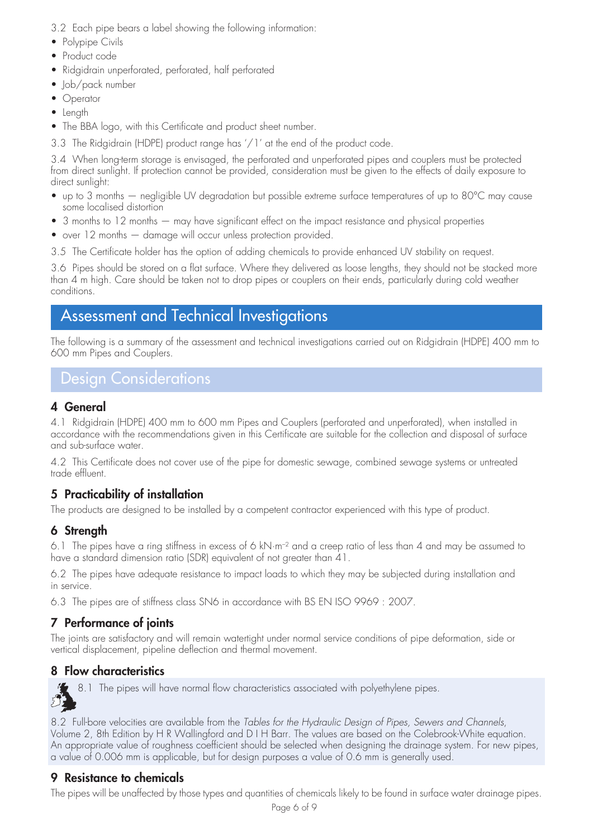- 3.2 Each pipe bears a label showing the following information:
- Polypipe Civils
- Product code
- Ridgidrain unperforated, perforated, half perforated
- Job/pack number
- Operator
- Length
- The BBA logo, with this Certificate and product sheet number.
- 3.3 The Ridgidrain (HDPE) product range has '/1' at the end of the product code.

3.4 When long-term storage is envisaged, the perforated and unperforated pipes and couplers must be protected from direct sunlight. If protection cannot be provided, consideration must be given to the effects of daily exposure to direct sunlight:

- up to 3 months negligible UV degradation but possible extreme surface temperatures of up to 80°C may cause some localised distortion
- 3 months to 12 months may have significant effect on the impact resistance and physical properties
- over 12 months damage will occur unless protection provided.
- 3.5 The Certificate holder has the option of adding chemicals to provide enhanced UV stability on request.

3.6 Pipes should be stored on a flat surface. Where they delivered as loose lengths, they should not be stacked more than 4 m high. Care should be taken not to drop pipes or couplers on their ends, particularly during cold weather conditions.

## Assessment and Technical Investigations

The following is a summary of the assessment and technical investigations carried out on Ridgidrain (HDPE) 400 mm to 600 mm Pipes and Couplers.

# Design Considerations

### **4 General**

4.1 Ridgidrain (HDPE) 400 mm to 600 mm Pipes and Couplers (perforated and unperforated), when installed in accordance with the recommendations given in this Certificate are suitable for the collection and disposal of surface and sub-surface water.

4.2 This Certificate does not cover use of the pipe for domestic sewage, combined sewage systems or untreated trade effluent.

### **5 Practicability of installation**

The products are designed to be installed by a competent contractor experienced with this type of product.

### **6 Strength**

6.1 The pipes have a ring stiffness in excess of 6 kN·m–2 and a creep ratio of less than 4 and may be assumed to have a standard dimension ratio (SDR) equivalent of not greater than 41.

6.2 The pipes have adequate resistance to impact loads to which they may be subjected during installation and in service.

6.3 The pipes are of stiffness class SN6 in accordance with BS EN ISO 9969 : 2007.

### **7 Performance of joints**

The joints are satisfactory and will remain watertight under normal service conditions of pipe deformation, side or vertical displacement, pipeline deflection and thermal movement.

### **8 Flow characteristics**

8.1 The pipes will have normal flow characteristics associated with polyethylene pipes. 红

8.2 Full-bore velocities are available from the *Tables for the Hydraulic Design of Pipes, Sewers and Channels*, Volume 2, 8th Edition by H R Wallingford and D I H Barr. The values are based on the Colebrook-White equation. An appropriate value of roughness coefficient should be selected when designing the drainage system. For new pipes, a value of 0.006 mm is applicable, but for design purposes a value of 0.6 mm is generally used.

### **9 Resistance to chemicals**

The pipes will be unaffected by those types and quantities of chemicals likely to be found in surface water drainage pipes.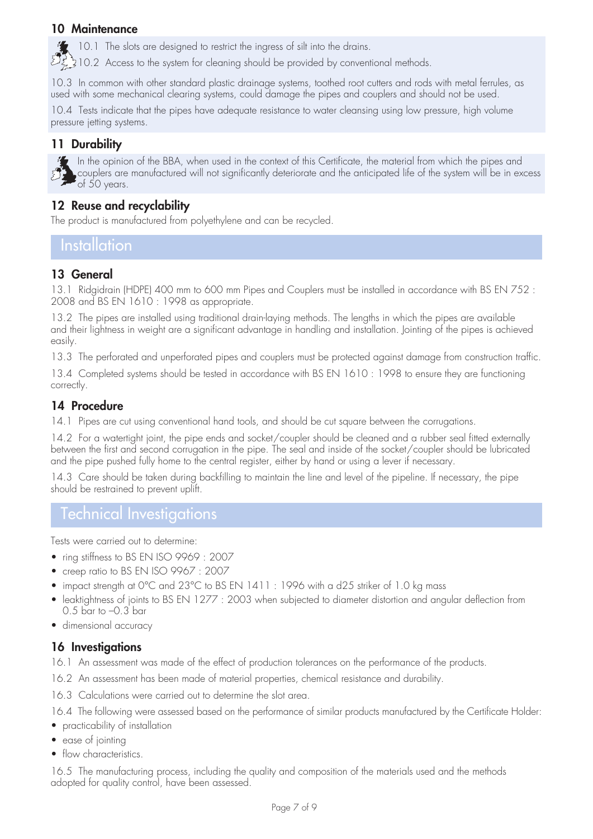#### **10 Maintenance**

10.1 The slots are designed to restrict the ingress of silt into the drains.

 $\mathbb{Z}_2$  310.2 Access to the system for cleaning should be provided by conventional methods.

10.3 In common with other standard plastic drainage systems, toothed root cutters and rods with metal ferrules, as used with some mechanical clearing systems, could damage the pipes and couplers and should not be used.

10.4 Tests indicate that the pipes have adequate resistance to water cleansing using low pressure, high volume pressure jetting systems.

### **11 Durability**



In the opinion of the BBA, when used in the context of this Certificate, the material from which the pipes and couplers are manufactured will not significantly deteriorate and the anticipated life of the system will be in excess of 50 years.

#### **12 Reuse and recyclability**

The product is manufactured from polyethylene and can be recycled.

### Installation

### **13 General**

13.1 Ridgidrain (HDPE) 400 mm to 600 mm Pipes and Couplers must be installed in accordance with BS EN 752 : 2008 and BS EN 1610 : 1998 as appropriate.

13.2 The pipes are installed using traditional drain-laying methods. The lengths in which the pipes are available and their lightness in weight are a significant advantage in handling and installation. Jointing of the pipes is achieved easily.

13.3 The perforated and unperforated pipes and couplers must be protected against damage from construction traffic.

13.4 Completed systems should be tested in accordance with BS EN 1610 : 1998 to ensure they are functioning correctly.

#### **14 Procedure**

14.1 Pipes are cut using conventional hand tools, and should be cut square between the corrugations.

14.2 For a watertight joint, the pipe ends and socket/coupler should be cleaned and a rubber seal fitted externally between the first and second corrugation in the pipe. The seal and inside of the socket/coupler should be lubricated and the pipe pushed fully home to the central register, either by hand or using a lever if necessary.

14.3 Care should be taken during backfilling to maintain the line and level of the pipeline. If necessary, the pipe should be restrained to prevent uplift.

### Technical Investigations

Tests were carried out to determine:

- ring stiffness to BS EN ISO 9969 : 2007
- creep ratio to BS EN ISO 9967 : 2007
- impact strength at 0°C and 23°C to BS EN 1411 : 1996 with a d25 striker of 1.0 kg mass
- leaktightness of joints to BS EN 1277 : 2003 when subjected to diameter distortion and angular deflection from 0.5 bar to –0.3 bar
- dimensional accuracy

#### **16 Investigations**

16.1 An assessment was made of the effect of production tolerances on the performance of the products.

- 16.2 An assessment has been made of material properties, chemical resistance and durability.
- 16.3 Calculations were carried out to determine the slot area.

16.4 The following were assessed based on the performance of similar products manufactured by the Certificate Holder:

- practicability of installation
- ease of jointing
- flow characteristics.

16.5 The manufacturing process, including the quality and composition of the materials used and the methods adopted for quality control, have been assessed.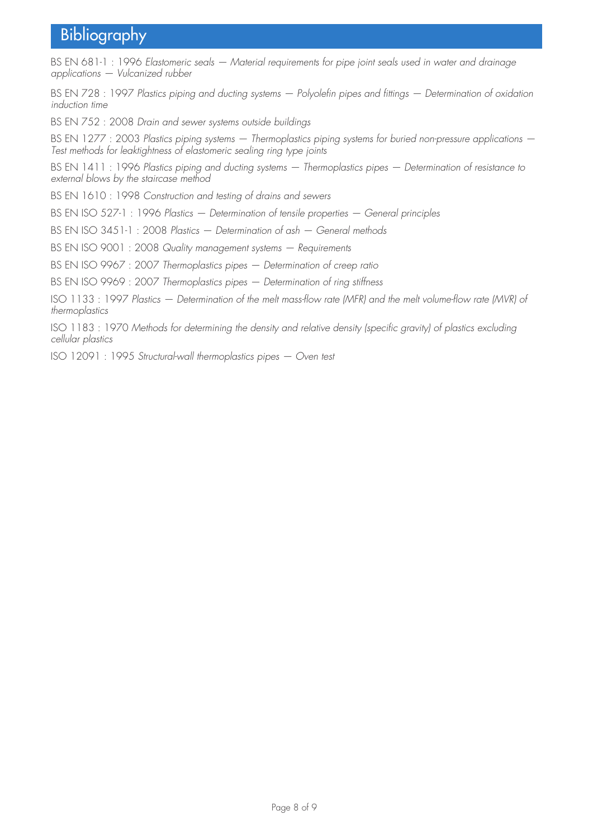# Bibliography

BS EN 681-1 : 1996 *Elastomeric seals — Material requirements for pipe joint seals used in water and drainage applications — Vulcanized rubber*

BS EN 728 : 1997 *Plastics piping and ducting systems — Polyolefin pipes and fittings — Determination of oxidation induction time*

BS EN 752 : 2008 *Drain and sewer systems outside buildings*

BS EN 1277 : 2003 *Plastics piping systems — Thermoplastics piping systems for buried non-pressure applications — Test methods for leaktightness of elastomeric sealing ring type joints*

BS EN 1411 : 1996 *Plastics piping and ducting systems — Thermoplastics pipes — Determination of resistance to external blows by the staircase method*

BS EN 1610 : 1998 *Construction and testing of drains and sewers*

BS EN ISO 527-1 : 1996 *Plastics — Determination of tensile properties — General principles*

BS EN ISO 3451-1 : 2008 *Plastics — Determination of ash — General methods*

BS EN ISO 9001 : 2008 *Quality management systems — Requirements*

BS EN ISO 9967 : 2007 *Thermoplastics pipes — Determination of creep ratio*

BS EN ISO 9969 : 2007 *Thermoplastics pipes — Determination of ring stiffness*

ISO 1133 : 1997 *Plastics — Determination of the melt mass-flow rate (MFR) and the melt volume-flow rate (MVR) of thermoplastics*

ISO 1183 : 1970 *Methods for determining the density and relative density (specific gravity) of plastics excluding cellular plastics*

ISO 12091 : 1995 *Structural-wall thermoplastics pipes — Oven test*